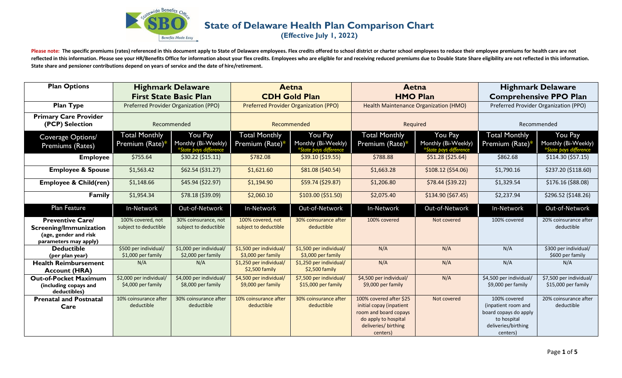

## **State of Delaware Health Plan Comparison Chart**

**(Effective July 1, 2022)**

Please note: The specific premiums (rates) referenced in this document apply to State of Delaware employees. Flex credits offered to school district or charter school employees to reduce their employee premiums for health reflected in this information. Please see your HR/Benefits Office for information about your flex credits. Employees who are eligible for and receiving reduced premiums due to Double State Share eligibility are not reflect **State share and pensioner contributions depend on years of service and the date of hire/retirement.** 

| <b>Plan Options</b>                                                                                 | <b>Highmark Delaware</b><br><b>First State Basic Plan</b> |                                                          | <b>Aetna</b><br><b>CDH Gold Plan</b>           |                                                          | Aetna<br><b>HMO Plan</b>                                                                                                                 |                                                          | <b>Highmark Delaware</b><br><b>Comprehensive PPO Plan</b>                                                      |                                                          |
|-----------------------------------------------------------------------------------------------------|-----------------------------------------------------------|----------------------------------------------------------|------------------------------------------------|----------------------------------------------------------|------------------------------------------------------------------------------------------------------------------------------------------|----------------------------------------------------------|----------------------------------------------------------------------------------------------------------------|----------------------------------------------------------|
| <b>Plan Type</b>                                                                                    | Preferred Provider Organization (PPO)                     |                                                          | <b>Preferred Provider Organization (PPO)</b>   |                                                          | Health Maintenance Organization (HMO)                                                                                                    |                                                          | Preferred Provider Organization (PPO)                                                                          |                                                          |
| <b>Primary Care Provider</b><br>(PCP) Selection                                                     | Recommended                                               |                                                          | Recommended                                    |                                                          | Required                                                                                                                                 |                                                          | Recommended                                                                                                    |                                                          |
| Coverage Options/<br>Premiums (Rates)                                                               | <b>Total Monthly</b><br>Premium (Rate)*                   | You Pay<br>Monthly (Bi-Weekly)<br>*State pays difference | <b>Total Monthly</b><br>Premium (Rate)*        | You Pay<br>Monthly (Bi-Weekly)<br>*State pays difference | <b>Total Monthly</b><br>Premium (Rate)*                                                                                                  | You Pay<br>Monthly (Bi-Weekly)<br>*State pays difference | <b>Total Monthly</b><br>Premium (Rate)*                                                                        | You Pay<br>Monthly (Bi-Weekly)<br>*State pays difference |
| <b>Employee</b>                                                                                     | \$755.64                                                  | \$30.22 (\$15.11)                                        | \$782.08                                       | \$39.10 (\$19.55)                                        | \$788.88                                                                                                                                 | \$51.28 (\$25.64)                                        | \$862.68                                                                                                       | \$114.30 (\$57.15)                                       |
| <b>Employee &amp; Spouse</b>                                                                        | \$1,563.42                                                | \$62.54 (\$31.27)                                        | \$1,621.60                                     | \$81.08 (\$40.54)                                        | \$1,663.28                                                                                                                               | \$108.12 (\$54.06)                                       | \$1,790.16                                                                                                     | \$237.20 (\$118.60)                                      |
| <b>Employee &amp; Child(ren)</b>                                                                    | \$1,148.66                                                | \$45.94 (\$22.97)                                        | \$1,194.90                                     | \$59.74 (\$29.87)                                        | \$1,206.80                                                                                                                               | \$78.44 (\$39.22)                                        | \$1,329.54                                                                                                     | \$176.16 (\$88.08)                                       |
| <b>Family</b>                                                                                       | \$1,954.34                                                | \$78.18 (\$39.09)                                        | \$2,060.10                                     | \$103.00 (\$51.50)                                       | \$2,075.40                                                                                                                               | \$134.90 (\$67.45)                                       | \$2,237.94                                                                                                     | \$296.52 (\$148.26)                                      |
| Plan Feature                                                                                        | In-Network                                                | Out-of-Network                                           | In-Network                                     | Out-of-Network                                           | In-Network                                                                                                                               | Out-of-Network                                           | In-Network                                                                                                     | Out-of-Network                                           |
| <b>Preventive Care/</b><br>Screening/Immunization<br>(age, gender and risk<br>parameters may apply) | 100% covered, not<br>subject to deductible                | 30% coinsurance, not<br>subject to deductible            | 100% covered, not<br>subject to deductible     | 30% coinsurance after<br>deductible                      | 100% covered                                                                                                                             | Not covered                                              | 100% covered                                                                                                   | 20% coinsurance after<br>deductible                      |
| <b>Deductible</b><br>(per plan year)                                                                | \$500 per individual/<br>\$1,000 per family               | \$1,000 per individual/<br>\$2,000 per family            | \$1,500 per individual/<br>\$3,000 per family  | \$1,500 per individual/<br>\$3,000 per family            | N/A                                                                                                                                      | N/A                                                      | N/A                                                                                                            | \$300 per individual/<br>\$600 per family                |
| <b>Health Reimbursement</b><br><b>Account (HRA)</b>                                                 | N/A                                                       | N/A                                                      | \$1,250 per individual/<br>\$2,500 family      | \$1,250 per individual/<br>\$2,500 family                | N/A                                                                                                                                      | N/A                                                      | N/A                                                                                                            | N/A                                                      |
| <b>Out-of-Pocket Maximum</b><br>(including copays and<br>deductibles)                               | \$2,000 per individual/<br>\$4,000 per family             | \$4,000 per individual/<br>\$8,000 per family            | \$4,500 per individual/<br>$$9,000$ per family | \$7,500 per individual/<br>\$15,000 per family           | \$4,500 per individual/<br>\$9,000 per family                                                                                            | N/A                                                      | \$4,500 per individual/<br>\$9,000 per family                                                                  | \$7,500 per individual/<br>\$15,000 per family           |
| <b>Prenatal and Postnatal</b><br>Care                                                               | 10% coinsurance after<br>deductible                       | 30% coinsurance after<br>deductible                      | 10% coinsurance after<br>deductible            | 30% coinsurance after<br>deductible                      | 100% covered after \$25<br>initial copay (inpatient<br>room and board copays<br>do apply to hospital<br>deliveries/ birthing<br>centers) | Not covered                                              | 100% covered<br>(inpatient room and<br>board copays do apply<br>to hospital<br>deliveries/birthing<br>centers) | 20% coinsurance after<br>deductible                      |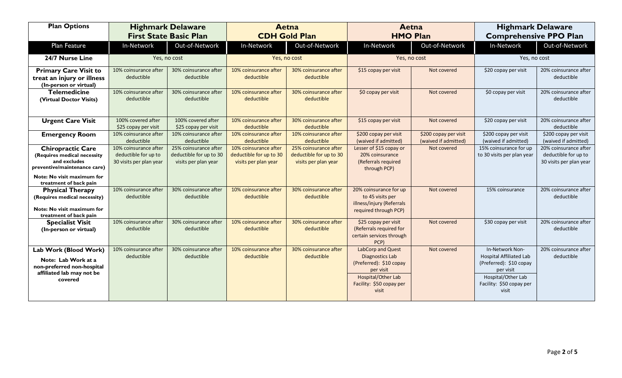| <b>Plan Options</b>                                                                                                                                             | <b>Highmark Delaware</b><br><b>First State Basic Plan</b>                |                                                                          | <b>Aetna</b><br><b>CDH Gold Plan</b>                                     |                                                                          | Aetna<br><b>HMO Plan</b>                                                                                                                |                                               | <b>Highmark Delaware</b><br><b>Comprehensive PPO Plan</b>                                                                                            |                                                                          |
|-----------------------------------------------------------------------------------------------------------------------------------------------------------------|--------------------------------------------------------------------------|--------------------------------------------------------------------------|--------------------------------------------------------------------------|--------------------------------------------------------------------------|-----------------------------------------------------------------------------------------------------------------------------------------|-----------------------------------------------|------------------------------------------------------------------------------------------------------------------------------------------------------|--------------------------------------------------------------------------|
| Plan Feature                                                                                                                                                    | In-Network                                                               | Out-of-Network                                                           | In-Network                                                               | Out-of-Network                                                           | In-Network                                                                                                                              | Out-of-Network                                | In-Network                                                                                                                                           | Out-of-Network                                                           |
| 24/7 Nurse Line                                                                                                                                                 | Yes, no cost                                                             |                                                                          | Yes, no cost                                                             |                                                                          | Yes, no cost                                                                                                                            |                                               | Yes, no cost                                                                                                                                         |                                                                          |
| <b>Primary Care Visit to</b><br>treat an injury or illness<br>(In-person or virtual)                                                                            | 10% coinsurance after<br>deductible                                      | 30% coinsurance after<br>deductible                                      | 10% coinsurance after<br>deductible                                      | 30% coinsurance after<br>deductible                                      | \$15 copay per visit                                                                                                                    | Not covered                                   | \$20 copay per visit                                                                                                                                 | 20% coinsurance after<br>deductible                                      |
| <b>Telemedicine</b><br>(Virtual Doctor Visits)                                                                                                                  | 10% coinsurance after<br>deductible                                      | 30% coinsurance after<br>deductible                                      | 10% coinsurance after<br>deductible                                      | 30% coinsurance after<br>deductible                                      | \$0 copay per visit                                                                                                                     | Not covered                                   | \$0 copay per visit                                                                                                                                  | 20% coinsurance after<br>deductible                                      |
| <b>Urgent Care Visit</b>                                                                                                                                        | 100% covered after<br>\$25 copay per visit                               | 100% covered after<br>\$25 copay per visit                               | 10% coinsurance after<br>deductible                                      | 30% coinsurance after<br>deductible                                      | \$15 copay per visit                                                                                                                    | Not covered                                   | \$20 copay per visit                                                                                                                                 | 20% coinsurance after<br>deductible                                      |
| <b>Emergency Room</b>                                                                                                                                           | 10% coinsurance after<br>deductible                                      | 10% coinsurance after<br>deductible                                      | 10% coinsurance after<br>deductible                                      | 10% coinsurance after<br>deductible                                      | \$200 copay per visit<br>(waived if admitted)                                                                                           | \$200 copay per visit<br>(waived if admitted) | \$200 copay per visit<br>(waived if admitted)                                                                                                        | \$200 copay per visit<br>(waived if admitted)                            |
| <b>Chiropractic Care</b><br>(Requires medical necessity<br>and excludes<br>preventive/maintenance care)<br>Note: No visit maximum for<br>treatment of back pain | 10% coinsurance after<br>deductible for up to<br>30 visits per plan year | 25% coinsurance after<br>deductible for up to 30<br>visits per plan year | 10% coinsurance after<br>deductible for up to 30<br>visits per plan year | 25% coinsurance after<br>deductible for up to 30<br>visits per plan year | Lesser of \$15 copay or<br>20% coinsurance<br>(Referrals required<br>through PCP)                                                       | Not covered                                   | 15% coinsurance for up<br>to 30 visits per plan year                                                                                                 | 20% coinsurance after<br>deductible for up to<br>30 visits per plan year |
| <b>Physical Therapy</b><br>(Requires medical necessity)<br>Note: No visit maximum for<br>treatment of back pain                                                 | 10% coinsurance after<br>deductible                                      | 30% coinsurance after<br>deductible                                      | 10% coinsurance after<br>deductible                                      | 30% coinsurance after<br>deductible                                      | 20% coinsurance for up<br>to 45 visits per<br>illness/injury (Referrals<br>required through PCP)                                        | Not covered                                   | 15% coinsurance                                                                                                                                      | 20% coinsurance after<br>deductible                                      |
| <b>Specialist Visit</b><br>(In-person or virtual)                                                                                                               | 10% coinsurance after<br>deductible                                      | 30% coinsurance after<br>deductible                                      | 10% coinsurance after<br>deductible                                      | 30% coinsurance after<br>deductible                                      | \$25 copay per visit<br>(Referrals required for<br>certain services through<br>PCP)                                                     | Not covered                                   | \$30 copay per visit                                                                                                                                 | 20% coinsurance after<br>deductible                                      |
| Lab Work (Blood Work)<br>Note: Lab Work at a<br>non-preferred non-hospital<br>affiliated lab may not be<br>covered                                              | 10% coinsurance after<br>deductible                                      | 30% coinsurance after<br>deductible                                      | 10% coinsurance after<br>deductible                                      | 30% coinsurance after<br>deductible                                      | LabCorp and Quest<br>Diagnostics Lab<br>(Preferred): \$10 copay<br>per visit<br>Hospital/Other Lab<br>Facility: \$50 copay per<br>visit | Not covered                                   | In-Network Non-<br><b>Hospital Affiliated Lab</b><br>(Preferred): \$10 copay<br>per visit<br>Hospital/Other Lab<br>Facility: \$50 copay per<br>visit | 20% coinsurance after<br>deductible                                      |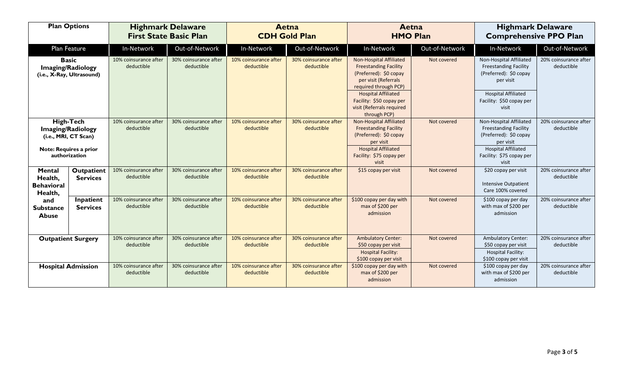| <b>Plan Options</b>                               |                                                                       | <b>Highmark Delaware</b><br><b>First State Basic Plan</b> |                                     | Aetna<br><b>CDH Gold Plan</b>       |                                     | Aetna<br><b>HMO Plan</b>                                                                                                                                         |                | <b>Highmark Delaware</b><br><b>Comprehensive PPO Plan</b>                                                                    |                                     |
|---------------------------------------------------|-----------------------------------------------------------------------|-----------------------------------------------------------|-------------------------------------|-------------------------------------|-------------------------------------|------------------------------------------------------------------------------------------------------------------------------------------------------------------|----------------|------------------------------------------------------------------------------------------------------------------------------|-------------------------------------|
|                                                   | Plan Feature                                                          | In-Network                                                | Out-of-Network                      | In-Network                          | Out-of-Network                      | In-Network                                                                                                                                                       | Out-of-Network | In-Network                                                                                                                   | Out-of-Network                      |
|                                                   | <b>Basic</b><br><b>Imaging/Radiology</b><br>(i.e., X-Ray, Ultrasound) | 10% coinsurance after<br>deductible                       | 30% coinsurance after<br>deductible | 10% coinsurance after<br>deductible | 30% coinsurance after<br>deductible | Non-Hospital Affiliated<br><b>Freestanding Facility</b><br>(Preferred): \$0 copay<br>per visit (Referrals<br>required through PCP)<br><b>Hospital Affiliated</b> | Not covered    | Non-Hospital Affiliated<br><b>Freestanding Facility</b><br>(Preferred): \$0 copay<br>per visit<br><b>Hospital Affiliated</b> | 20% coinsurance after<br>deductible |
|                                                   |                                                                       |                                                           |                                     |                                     |                                     | Facility: \$50 copay per<br>visit (Referrals required<br>through PCP)                                                                                            |                | Facility: \$50 copay per<br>visit                                                                                            |                                     |
| <b>High-Tech</b><br><b>Imaging/Radiology</b>      | (i.e., MRI, CT Scan)                                                  | 10% coinsurance after<br>deductible                       | 30% coinsurance after<br>deductible | 10% coinsurance after<br>deductible | 30% coinsurance after<br>deductible | Non-Hospital Affiliated<br><b>Freestanding Facility</b><br>(Preferred): \$0 copay<br>per visit                                                                   | Not covered    | Non-Hospital Affiliated<br><b>Freestanding Facility</b><br>(Preferred): \$0 copay<br>per visit                               | 20% coinsurance after<br>deductible |
|                                                   | <b>Note: Requires a prior</b><br>authorization                        |                                                           |                                     |                                     |                                     | <b>Hospital Affiliated</b><br>Facility: \$75 copay per<br>visit                                                                                                  |                | <b>Hospital Affiliated</b><br>Facility: \$75 copay per<br>visit                                                              |                                     |
| Mental<br>Health,<br><b>Behavioral</b><br>Health, | Outpatient<br><b>Services</b>                                         | 10% coinsurance after<br>deductible                       | 30% coinsurance after<br>deductible | 10% coinsurance after<br>deductible | 30% coinsurance after<br>deductible | \$15 copay per visit                                                                                                                                             | Not covered    | \$20 copay per visit<br><b>Intensive Outpatient</b><br>Care 100% covered                                                     | 20% coinsurance after<br>deductible |
| and<br><b>Substance</b><br><b>Abuse</b>           | Inpatient<br><b>Services</b>                                          | 10% coinsurance after<br>deductible                       | 30% coinsurance after<br>deductible | 10% coinsurance after<br>deductible | 30% coinsurance after<br>deductible | \$100 copay per day with<br>max of \$200 per<br>admission                                                                                                        | Not covered    | \$100 copay per day<br>with max of \$200 per<br>admission                                                                    | 20% coinsurance after<br>deductible |
|                                                   | <b>Outpatient Surgery</b>                                             | 10% coinsurance after<br>deductible                       | 30% coinsurance after<br>deductible | 10% coinsurance after<br>deductible | 30% coinsurance after<br>deductible | <b>Ambulatory Center:</b><br>\$50 copay per visit<br><b>Hospital Facility:</b><br>\$100 copay per visit                                                          | Not covered    | <b>Ambulatory Center:</b><br>\$50 copay per visit<br>Hospital Facility:<br>\$100 copay per visit                             | 20% coinsurance after<br>deductible |
|                                                   | <b>Hospital Admission</b>                                             | 10% coinsurance after<br>deductible                       | 30% coinsurance after<br>deductible | 10% coinsurance after<br>deductible | 30% coinsurance after<br>deductible | \$100 copay per day with<br>max of \$200 per<br>admission                                                                                                        | Not covered    | \$100 copay per day<br>with max of \$200 per<br>admission                                                                    | 20% coinsurance after<br>deductible |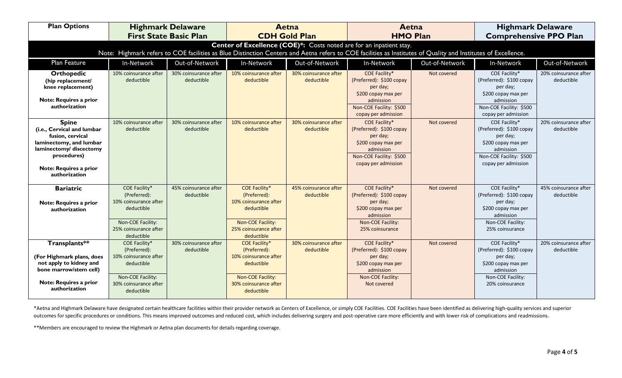| <b>Plan Options</b>                                                                                                                                                                                                                  | <b>Highmark Delaware</b><br><b>First State Basic Plan</b>                                                                        |                                     | <b>Aetna</b><br><b>CDH Gold Plan</b>                                                                                                    |                                     | Aetna<br><b>HMO Plan</b>                                                                                                                           |                | <b>Highmark Delaware</b><br><b>Comprehensive PPO Plan</b>                                                                                   |                                     |  |
|--------------------------------------------------------------------------------------------------------------------------------------------------------------------------------------------------------------------------------------|----------------------------------------------------------------------------------------------------------------------------------|-------------------------------------|-----------------------------------------------------------------------------------------------------------------------------------------|-------------------------------------|----------------------------------------------------------------------------------------------------------------------------------------------------|----------------|---------------------------------------------------------------------------------------------------------------------------------------------|-------------------------------------|--|
| Center of Excellence (COE)*: Costs noted are for an inpatient stay.<br>Note: Highmark refers to COE facilities as Blue Distinction Centers and Aetna refers to COE facilities as Institutes of Quality and Institutes of Excellence. |                                                                                                                                  |                                     |                                                                                                                                         |                                     |                                                                                                                                                    |                |                                                                                                                                             |                                     |  |
| Plan Feature                                                                                                                                                                                                                         | In-Network                                                                                                                       | Out-of-Network                      | In-Network                                                                                                                              | Out-of-Network                      | In-Network                                                                                                                                         | Out-of-Network | In-Network                                                                                                                                  | Out-of-Network                      |  |
| <b>Orthopedic</b><br>(hip replacement/<br>knee replacement)<br>Note: Requires a prior<br>authorization                                                                                                                               | 10% coinsurance after<br>deductible                                                                                              | 30% coinsurance after<br>deductible | 10% coinsurance after<br>deductible                                                                                                     | 30% coinsurance after<br>deductible | COE Facility*<br>(Preferred): \$100 copay<br>per day;<br>\$200 copay max per<br>admission<br>Non-COE Facility: \$500<br>copay per admission        | Not covered    | COE Facility*<br>(Preferred): \$100 copay<br>per day;<br>\$200 copay max per<br>admission<br>Non-COE Facility: \$500<br>copay per admission | 20% coinsurance after<br>deductible |  |
| <b>Spine</b><br>(i.e., Cervical and lumbar<br>fusion, cervical<br>laminectomy, and lumbar<br>laminectomy/ discectomy<br>procedures)<br><b>Note: Requires a prior</b><br>authorization                                                | 10% coinsurance after<br>deductible                                                                                              | 30% coinsurance after<br>deductible | 10% coinsurance after<br>deductible                                                                                                     | 30% coinsurance after<br>deductible | <b>COE Facility*</b><br>(Preferred): \$100 copay<br>per day;<br>\$200 copay max per<br>admission<br>Non-COE Facility: \$500<br>copay per admission | Not covered    | COE Facility*<br>(Preferred): \$100 copay<br>per day;<br>\$200 copay max per<br>admission<br>Non-COE Facility: \$500<br>copay per admission | 20% coinsurance after<br>deductible |  |
| <b>Bariatric</b><br><b>Note: Requires a prior</b><br>authorization                                                                                                                                                                   | COE Facility*<br>(Preferred):<br>10% coinsurance after<br>deductible<br>Non-COE Facility:<br>25% coinsurance after<br>deductible | 45% coinsurance after<br>deductible | <b>COE Facility*</b><br>(Preferred):<br>10% coinsurance after<br>deductible<br>Non-COE Facility:<br>25% coinsurance after<br>deductible | 45% coinsurance after<br>deductible | COE Facility*<br>(Preferred): \$100 copay<br>per day;<br>\$200 copay max per<br>admission<br>Non-COE Facility:<br>25% coinsurance                  | Not covered    | COE Facility*<br>(Preferred): \$100 copay<br>per day;<br>\$200 copay max per<br>admission<br>Non-COE Facility:<br>25% coinsurance           | 45% coinsurance after<br>deductible |  |
| Transplants**<br>(For Highmark plans, does<br>not apply to kidney and<br>bone marrow/stem cell)<br><b>Note: Requires a prior</b><br>authorization                                                                                    | COE Facility*<br>(Preferred):<br>10% coinsurance after<br>deductible<br>Non-COE Facility:<br>30% coinsurance after<br>deductible | 30% coinsurance after<br>deductible | <b>COE Facility*</b><br>(Preferred):<br>10% coinsurance after<br>deductible<br>Non-COE Facility:<br>30% coinsurance after<br>deductible | 30% coinsurance after<br>deductible | COE Facility*<br>(Preferred): \$100 copay<br>per day;<br>\$200 copay max per<br>admission<br>Non-COE Facility:<br>Not covered                      | Not covered    | COE Facility*<br>(Preferred): \$100 copay<br>per day;<br>\$200 copay max per<br>admission<br>Non-COE Facility:<br>20% coinsurance           | 20% coinsurance after<br>deductible |  |

\*Aetna and Highmark Delaware have designated certain healthcare facilities within their provider network as Centers of Excellence, or simply COE Facilities. COE Facilities have been identified as delivering high-quality se outcomes for specific procedures or conditions. This means improved outcomes and reduced cost, which includes delivering surgery and post-operative care more efficiently and with lower risk of complications and readmissions.

\*\*Members are encouraged to review the Highmark or Aetna plan documents for details regarding coverage.